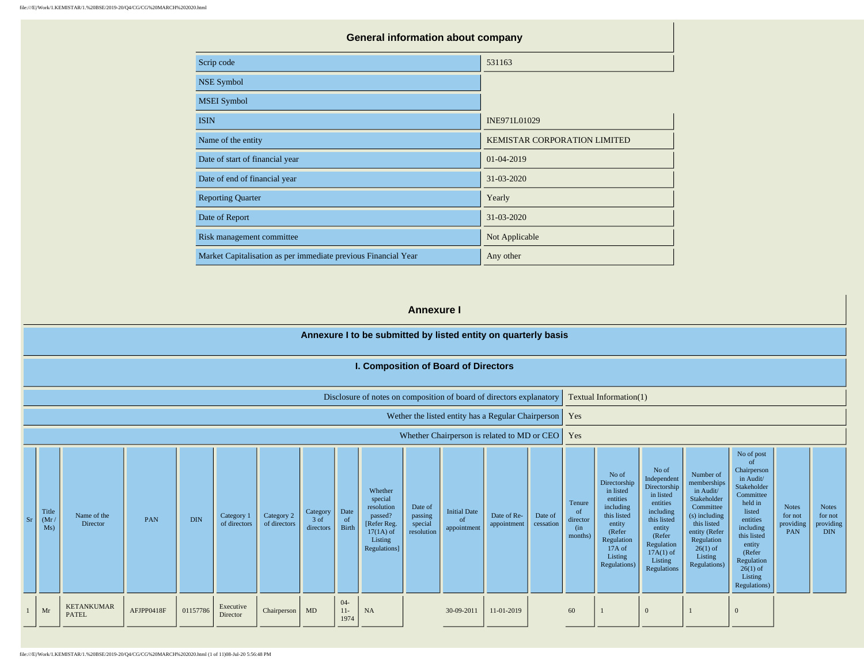| <b>General information about company</b> |
|------------------------------------------|
| 531163                                   |
|                                          |
|                                          |
| INE971L01029                             |
| <b>KEMISTAR CORPORATION LIMITED</b>      |
| 01-04-2019                               |
| 31-03-2020                               |
| Yearly                                   |
| 31-03-2020                               |
| Not Applicable                           |
| Any other                                |
|                                          |

#### **Annexure I**

#### **Annexure I to be submitted by listed entity on quarterly basis I. Composition of Board of Directors** Disclosure of notes on composition of board of directors explanatory  $\vert$  Textual Information(1) Wether the listed entity has a Regular Chairperson | Yes Whether Chairperson is related to MD or CEO | Yes Sr Title  $(Mr)$ Ms) Name of the<br>Director  $\begin{array}{c|c}\n\text{Dine of the} \\
\text{Director}\n\end{array}\n\quad\n\begin{array}{c}\n\text{PAN} \\
\text{DIN} \\
\text{of directors}\n\end{array}\n\quad\n\begin{array}{c}\n\text{Category 1} \\
\text{Category 2} \\
\text{Cop.}\n\end{array}$ of directors Category 2 of directors **Category** 3 of directors Date of Birth Whether special resolution passed? [Refer Reg.  $17(1A)$  of Listing Regulations] Date of passing special resolution Initial Date of appointment Date of Reappointment Date of cessation Tenure of director (in months) No of Directorship in listed entities including this listed entity (Refer Regulation 17A of Listing Regulations) No of Independent Directorship in listed entities including this listed entity (Refer Regulation  $17A(1)$  of Listing Regulations Number of memberships in Audit/ Stakeholder Committee (s) including this listed entity (Refer Regulation  $26(1)$  of Listing Regulations) No of post of Chairperson in Audit/ Stakeholder Committee held in listed entities including this listed entity (Refer Regulation  $26(1)$  of Listing Regulations) Notes for not providing PAN Notes for not providing DIN 1 Mr KETANKUMAR AFJPP0418F 01157786 Executive<br>
PATEL Executive Chairperson MD 04- 11- 1974 NA 30-09-2011 11-01-2019 60 1 0 1 0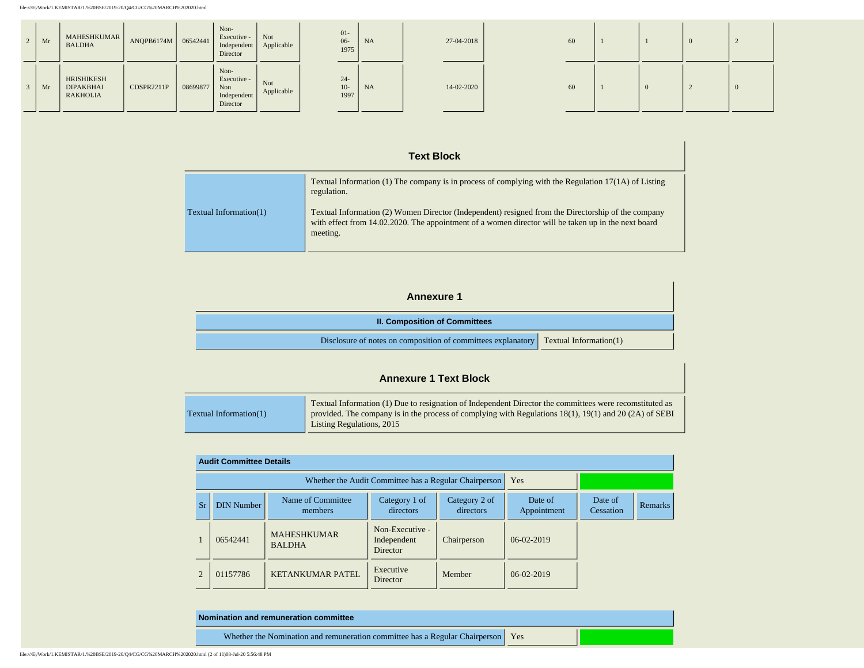| $\vert$ Mr | MAHESHKUMAR<br><b>BALDHA</b>               | ANQPB6174M   06542441 |          | Non-<br>Executive -<br>Independent<br>Director        | Not<br>Applicable | $01 -$<br>$06 -$<br>1975 | NA        | 27-04-2018 | 60 |  |  |
|------------|--------------------------------------------|-----------------------|----------|-------------------------------------------------------|-------------------|--------------------------|-----------|------------|----|--|--|
| Mr         | HRISHIKESH<br><b>DIPAKBHAI</b><br>RAKHOLIA | CDSPR2211P            | 08699877 | Non-<br>Executive -<br>Non<br>Independent<br>Director | Not<br>Applicable | $24 -$<br>$10-$<br>1997  | <b>NA</b> | 14-02-2020 | 60 |  |  |

## **Text Block**

|                           | Textual Information $(1)$ The company is in process of complying with the Regulation 17(1A) of Listing<br>regulation.                                                                                                 |
|---------------------------|-----------------------------------------------------------------------------------------------------------------------------------------------------------------------------------------------------------------------|
| Textual Information $(1)$ | Textual Information (2) Women Director (Independent) resigned from the Directorship of the company<br>with effect from 14.02.2020. The appointment of a women director will be taken up in the next board<br>meeting. |

### **Annexure 1**

| <b>II. Composition of Committees</b>                                                         |  |
|----------------------------------------------------------------------------------------------|--|
| Disclosure of notes on composition of committees explanatory $\Gamma$ Textual Information(1) |  |

# **Annexure 1 Text Block**

|                           | Textual Information (1) Due to resignation of Independent Director the committees were recomstituted as |
|---------------------------|---------------------------------------------------------------------------------------------------------|
| Textual Information $(1)$ | provided. The company is in the process of complying with Regulations 18(1), 19(1) and 20 (2A) of SEBI  |
|                           | Listing Regulations, 2015                                                                               |

|                | <b>Audit Committee Details</b> |                                                       |                                                   |                            |                        |                      |                |  |  |  |  |  |
|----------------|--------------------------------|-------------------------------------------------------|---------------------------------------------------|----------------------------|------------------------|----------------------|----------------|--|--|--|--|--|
|                |                                | Whether the Audit Committee has a Regular Chairperson | Yes                                               |                            |                        |                      |                |  |  |  |  |  |
| Sr             | <b>DIN Number</b>              | Name of Committee<br>members                          | Category 1 of<br>directors                        | Category 2 of<br>directors | Date of<br>Appointment | Date of<br>Cessation | <b>Remarks</b> |  |  |  |  |  |
|                | 06542441                       | <b>MAHESHKUMAR</b><br><b>BALDHA</b>                   | Non-Executive -<br>Independent<br><b>Director</b> | Chairperson                | $06-02-2019$           |                      |                |  |  |  |  |  |
| $\mathfrak{D}$ | 01157786                       | <b>KETANKUMAR PATEL</b>                               | Executive<br>Director                             | Member                     | 06-02-2019             |                      |                |  |  |  |  |  |

| Nomination and remuneration committee                                             |  |
|-----------------------------------------------------------------------------------|--|
| Whether the Nomination and remuneration committee has a Regular Chairperson   Yes |  |

file:///E|/Work/1.KEMISTAR/1.%20BSE/2019-20/Q4/CG/CG%20MARCH%202020.html (2 of 11)08-Jul-20 5:56:48 PM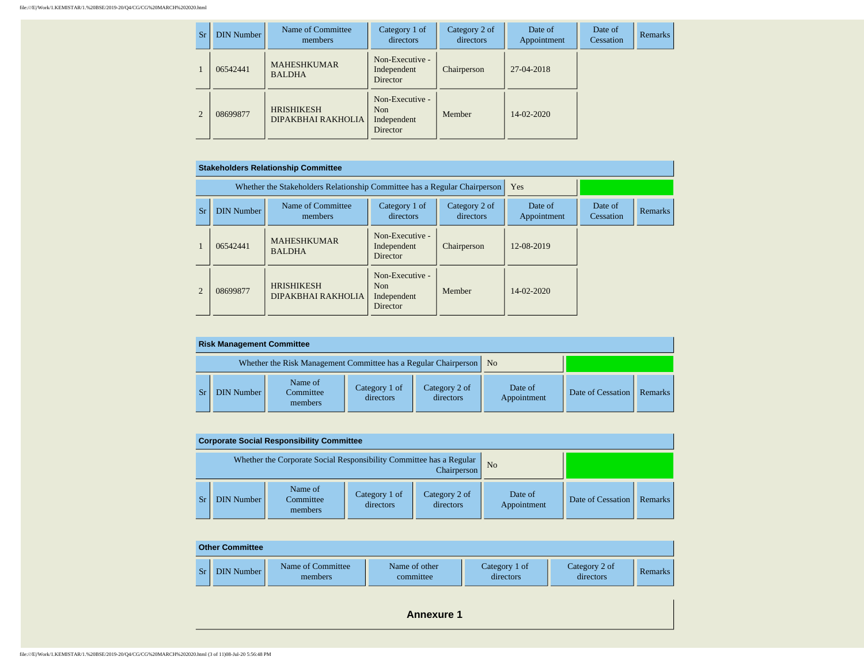| <b>Sr</b>      | <b>DIN Number</b> | Name of Committee<br>members                   | Category 1 of<br>directors                        | Category 2 of<br>directors | Date of<br>Appointment | Date of<br>Cessation | <b>Remarks</b> |
|----------------|-------------------|------------------------------------------------|---------------------------------------------------|----------------------------|------------------------|----------------------|----------------|
|                | 06542441          | <b>MAHESHKUMAR</b><br><b>BALDHA</b>            | Non-Executive -<br>Independent<br>Director        | Chairperson                | 27-04-2018             |                      |                |
| $\overline{2}$ | 08699877          | <b>HRISHIKESH</b><br><b>DIPAKBHAI RAKHOLIA</b> | Non-Executive -<br>Non<br>Independent<br>Director | Member                     | 14-02-2020             |                      |                |

|                | <b>Stakeholders Relationship Committee</b> |                                                                           |                                                               |                            |                        |                      |         |  |  |  |  |  |
|----------------|--------------------------------------------|---------------------------------------------------------------------------|---------------------------------------------------------------|----------------------------|------------------------|----------------------|---------|--|--|--|--|--|
|                |                                            | Whether the Stakeholders Relationship Committee has a Regular Chairperson | Yes                                                           |                            |                        |                      |         |  |  |  |  |  |
| Sr             | <b>DIN Number</b>                          | Name of Committee<br>members                                              | Category 1 of<br>directors                                    | Category 2 of<br>directors | Date of<br>Appointment | Date of<br>Cessation | Remarks |  |  |  |  |  |
|                | 06542441                                   | <b>MAHESHKUMAR</b><br><b>BALDHA</b>                                       | Non-Executive -<br>Independent<br><b>Director</b>             | Chairperson                | 12-08-2019             |                      |         |  |  |  |  |  |
| $\overline{2}$ | 08699877                                   | <b>HRISHIKESH</b><br>DIPAKBHAI RAKHOLIA                                   | Non-Executive -<br>N <sub>on</sub><br>Independent<br>Director | Member                     | $14 - 02 - 2020$       |                      |         |  |  |  |  |  |

| <b>Risk Management Committee</b> |                                                                      |                            |                            |                        |                   |                |  |  |  |  |  |  |
|----------------------------------|----------------------------------------------------------------------|----------------------------|----------------------------|------------------------|-------------------|----------------|--|--|--|--|--|--|
|                                  | Whether the Risk Management Committee has a Regular Chairperson   No |                            |                            |                        |                   |                |  |  |  |  |  |  |
| <b>DIN Number  </b>              | Name of<br>Committee<br>members                                      | Category 1 of<br>directors | Category 2 of<br>directors | Date of<br>Appointment | Date of Cessation | <b>Remarks</b> |  |  |  |  |  |  |

| <b>Corporate Social Responsibility Committee</b> |                                                                     |                            |                            |                        |                   |         |  |  |  |  |  |  |
|--------------------------------------------------|---------------------------------------------------------------------|----------------------------|----------------------------|------------------------|-------------------|---------|--|--|--|--|--|--|
|                                                  | Whether the Corporate Social Responsibility Committee has a Regular | N <sub>0</sub>             |                            |                        |                   |         |  |  |  |  |  |  |
| <b>DIN Number</b>                                | Name of<br>Committee<br>members                                     | Category 1 of<br>directors | Category 2 of<br>directors | Date of<br>Appointment | Date of Cessation | Remarks |  |  |  |  |  |  |

|    | <b>Other Committee</b> |                              |                            |                            |                            |         |
|----|------------------------|------------------------------|----------------------------|----------------------------|----------------------------|---------|
| Sr | DIN Number             | Name of Committee<br>members | Name of other<br>committee | Category 1 of<br>directors | Category 2 of<br>directors | Remarks |

**Annexure 1**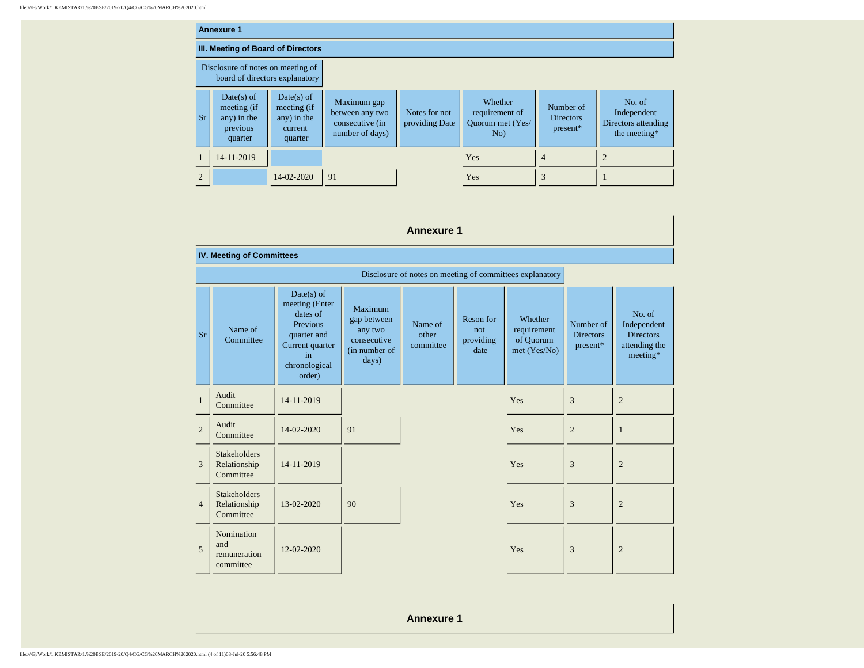|                | <b>Annexure 1</b>                                                   |                                                                  |                                                                      |                                 |                                                      |                                             |                                                              |
|----------------|---------------------------------------------------------------------|------------------------------------------------------------------|----------------------------------------------------------------------|---------------------------------|------------------------------------------------------|---------------------------------------------|--------------------------------------------------------------|
|                | III. Meeting of Board of Directors                                  |                                                                  |                                                                      |                                 |                                                      |                                             |                                                              |
|                | Disclosure of notes on meeting of<br>board of directors explanatory |                                                                  |                                                                      |                                 |                                                      |                                             |                                                              |
| Sr             | Date(s) of<br>meeting (if<br>any) in the<br>previous<br>quarter     | $Date(s)$ of<br>meeting (if<br>any) in the<br>current<br>quarter | Maximum gap<br>between any two<br>consecutive (in<br>number of days) | Notes for not<br>providing Date | Whether<br>requirement of<br>Ouorum met (Yes/<br>No) | Number of<br><b>Directors</b><br>$present*$ | No. of<br>Independent<br>Directors attending<br>the meeting* |
|                | 14-11-2019                                                          |                                                                  |                                                                      |                                 | <b>Yes</b>                                           | 4                                           |                                                              |
| $\overline{2}$ |                                                                     | 14-02-2020                                                       | 91                                                                   |                                 | Yes                                                  | 3                                           |                                                              |

|                | <b>Annexure 1</b>                                |                                                                                                                                  |                                                                            |                               |                                       |                                                          |                                           |                                                                          |
|----------------|--------------------------------------------------|----------------------------------------------------------------------------------------------------------------------------------|----------------------------------------------------------------------------|-------------------------------|---------------------------------------|----------------------------------------------------------|-------------------------------------------|--------------------------------------------------------------------------|
|                | <b>IV. Meeting of Committees</b>                 |                                                                                                                                  |                                                                            |                               |                                       |                                                          |                                           |                                                                          |
|                |                                                  |                                                                                                                                  |                                                                            |                               |                                       | Disclosure of notes on meeting of committees explanatory |                                           |                                                                          |
| Sr             | Name of<br>Committee                             | $Date(s)$ of<br>meeting (Enter<br>dates of<br><b>Previous</b><br>quarter and<br>Current quarter<br>in<br>chronological<br>order) | Maximum<br>gap between<br>any two<br>consecutive<br>(in number of<br>days) | Name of<br>other<br>committee | Reson for<br>not<br>providing<br>date | Whether<br>requirement<br>of Quorum<br>met (Yes/No)      | Number of<br><b>Directors</b><br>present* | No. of<br>Independent<br><b>Directors</b><br>attending the<br>$meeting*$ |
| $\mathbf{1}$   | Audit<br>Committee                               | 14-11-2019                                                                                                                       |                                                                            |                               |                                       | Yes                                                      | 3                                         | $\overline{2}$                                                           |
| $\overline{2}$ | Audit<br>Committee                               | 14-02-2020                                                                                                                       | 91                                                                         |                               |                                       | Yes                                                      | $\overline{2}$                            | $\mathbf{1}$                                                             |
| 3              | <b>Stakeholders</b><br>Relationship<br>Committee | 14-11-2019                                                                                                                       |                                                                            |                               |                                       | Yes                                                      | 3                                         | $\overline{2}$                                                           |
| $\overline{4}$ | <b>Stakeholders</b><br>Relationship<br>Committee | 13-02-2020                                                                                                                       | 90                                                                         |                               |                                       | Yes                                                      | 3                                         | $\overline{2}$                                                           |
| 5              | Nomination<br>and<br>remuneration<br>committee   | 12-02-2020                                                                                                                       |                                                                            |                               |                                       | Yes                                                      | 3                                         | $\overline{2}$                                                           |

**Annexure 1**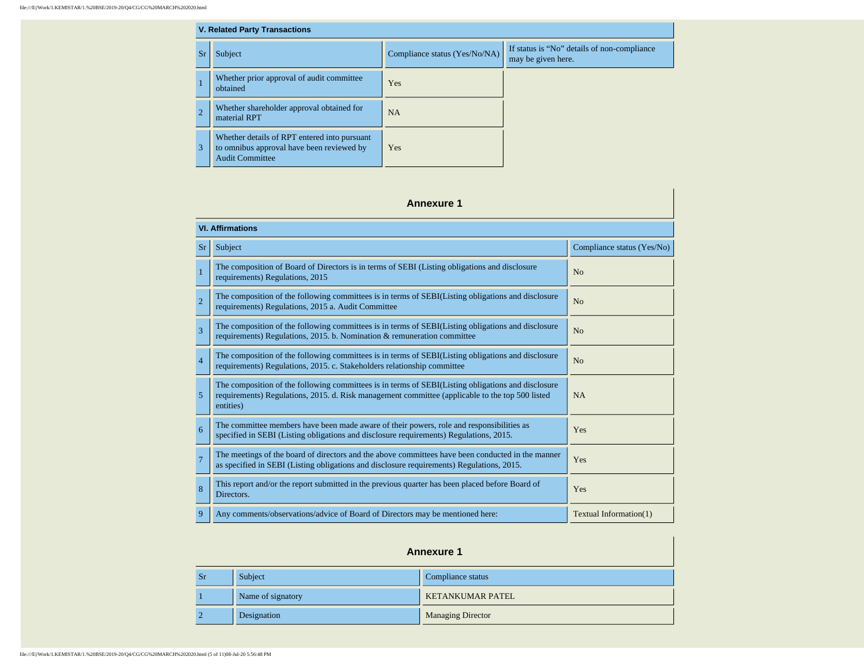| <b>V. Related Party Transactions</b> |                                                                                                                     |                               |                                                                   |  |  |
|--------------------------------------|---------------------------------------------------------------------------------------------------------------------|-------------------------------|-------------------------------------------------------------------|--|--|
| <b>Sr</b>                            | Subject                                                                                                             | Compliance status (Yes/No/NA) | If status is "No" details of non-compliance<br>may be given here. |  |  |
|                                      | Whether prior approval of audit committee<br>obtained                                                               | Yes                           |                                                                   |  |  |
| $\overline{2}$                       | Whether shareholder approval obtained for<br>material RPT                                                           | <b>NA</b>                     |                                                                   |  |  |
| 3                                    | Whether details of RPT entered into pursuant<br>to omnibus approval have been reviewed by<br><b>Audit Committee</b> | Yes                           |                                                                   |  |  |

 $\mathbf{r}$ 

| <b>Annexure 1</b> |                                                                                                                                                                                                                    |                            |  |  |  |  |  |
|-------------------|--------------------------------------------------------------------------------------------------------------------------------------------------------------------------------------------------------------------|----------------------------|--|--|--|--|--|
|                   | <b>VI. Affirmations</b>                                                                                                                                                                                            |                            |  |  |  |  |  |
| Sr                | Subject                                                                                                                                                                                                            | Compliance status (Yes/No) |  |  |  |  |  |
| $\mathbf{1}$      | The composition of Board of Directors is in terms of SEBI (Listing obligations and disclosure<br>requirements) Regulations, 2015                                                                                   | No                         |  |  |  |  |  |
| $\overline{2}$    | The composition of the following committees is in terms of SEBI(Listing obligations and disclosure<br>requirements) Regulations, 2015 a. Audit Committee                                                           | No                         |  |  |  |  |  |
| 3                 | The composition of the following committees is in terms of SEBI(Listing obligations and disclosure<br>requirements) Regulations, 2015. b. Nomination & remuneration committee                                      | No                         |  |  |  |  |  |
| $\overline{4}$    | The composition of the following committees is in terms of SEBI(Listing obligations and disclosure<br>requirements) Regulations, 2015. c. Stakeholders relationship committee                                      | N <sub>o</sub>             |  |  |  |  |  |
| 5                 | The composition of the following committees is in terms of SEBI(Listing obligations and disclosure<br>requirements) Regulations, 2015. d. Risk management committee (applicable to the top 500 listed<br>entities) | <b>NA</b>                  |  |  |  |  |  |
| 6                 | The committee members have been made aware of their powers, role and responsibilities as<br>specified in SEBI (Listing obligations and disclosure requirements) Regulations, 2015.                                 | Yes                        |  |  |  |  |  |
| $\overline{7}$    | The meetings of the board of directors and the above committees have been conducted in the manner<br>as specified in SEBI (Listing obligations and disclosure requirements) Regulations, 2015.                     | Yes                        |  |  |  |  |  |
| 8                 | This report and/or the report submitted in the previous quarter has been placed before Board of<br>Directors.                                                                                                      | Yes                        |  |  |  |  |  |
| 9                 | Any comments/observations/advice of Board of Directors may be mentioned here:                                                                                                                                      | Textual Information(1)     |  |  |  |  |  |

| <b>Annexure 1</b>                         |                   |                          |  |  |
|-------------------------------------------|-------------------|--------------------------|--|--|
| Subject<br>Compliance status<br><b>Sr</b> |                   |                          |  |  |
|                                           | Name of signatory | <b>KETANKUMAR PATEL</b>  |  |  |
|                                           | Designation       | <b>Managing Director</b> |  |  |

file:///E|/Work/1.KEMISTAR/1.%20BSE/2019-20/Q4/CG/CG%20MARCH%202020.html (5 of 11)08-Jul-20 5:56:48 PM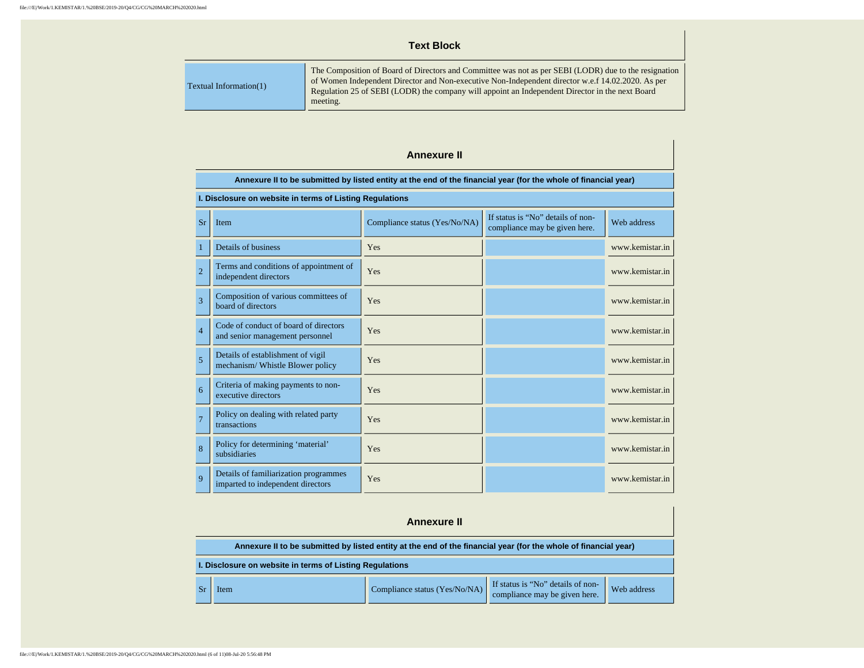### **Text Block**

| Textual Information $(1)$ | The Composition of Board of Directors and Committee was not as per SEBI (LODR) due to the resignation<br>of Women Independent Director and Non-executive Non-Independent director w.e.f 14.02.2020. As per<br>Regulation 25 of SEBI (LODR) the company will appoint an Independent Director in the next Board<br>meeting. |
|---------------------------|---------------------------------------------------------------------------------------------------------------------------------------------------------------------------------------------------------------------------------------------------------------------------------------------------------------------------|
|---------------------------|---------------------------------------------------------------------------------------------------------------------------------------------------------------------------------------------------------------------------------------------------------------------------------------------------------------------------|

#### **Annexure II**

|                | Annexure II to be submitted by listed entity at the end of the financial year (for the whole of financial year) |                               |                                                                    |                 |  |  |
|----------------|-----------------------------------------------------------------------------------------------------------------|-------------------------------|--------------------------------------------------------------------|-----------------|--|--|
|                | I. Disclosure on website in terms of Listing Regulations                                                        |                               |                                                                    |                 |  |  |
| Sr             | Item                                                                                                            | Compliance status (Yes/No/NA) | If status is "No" details of non-<br>compliance may be given here. | Web address     |  |  |
| $\mathbf{1}$   | Details of business                                                                                             | Yes                           |                                                                    | www.kemistar.in |  |  |
| $\overline{2}$ | Terms and conditions of appointment of<br>independent directors                                                 | Yes                           |                                                                    | www.kemistar.in |  |  |
| $\overline{3}$ | Composition of various committees of<br>board of directors                                                      | Yes                           |                                                                    | www.kemistar.in |  |  |
| $\overline{4}$ | Code of conduct of board of directors<br>and senior management personnel                                        | Yes                           |                                                                    | www.kemistar.in |  |  |
| 5              | Details of establishment of vigil<br>mechanism/ Whistle Blower policy                                           | Yes                           |                                                                    | www.kemistar.in |  |  |
| 6              | Criteria of making payments to non-<br>executive directors                                                      | Yes                           |                                                                    | www.kemistar.in |  |  |
| $\overline{7}$ | Policy on dealing with related party<br>transactions                                                            | Yes                           |                                                                    | www.kemistar.in |  |  |
| 8              | Policy for determining 'material'<br>subsidiaries                                                               | Yes                           |                                                                    | www.kemistar.in |  |  |
| $\overline{Q}$ | Details of familiarization programmes<br>imparted to independent directors                                      | Yes                           |                                                                    | www.kemistar.in |  |  |

| <b>Annexure II</b>                                                                                              |                               |                                                                    |             |  |
|-----------------------------------------------------------------------------------------------------------------|-------------------------------|--------------------------------------------------------------------|-------------|--|
| Annexure II to be submitted by listed entity at the end of the financial year (for the whole of financial year) |                               |                                                                    |             |  |
| I. Disclosure on website in terms of Listing Regulations                                                        |                               |                                                                    |             |  |
| Item                                                                                                            | Compliance status (Yes/No/NA) | If status is "No" details of non-<br>compliance may be given here. | Web address |  |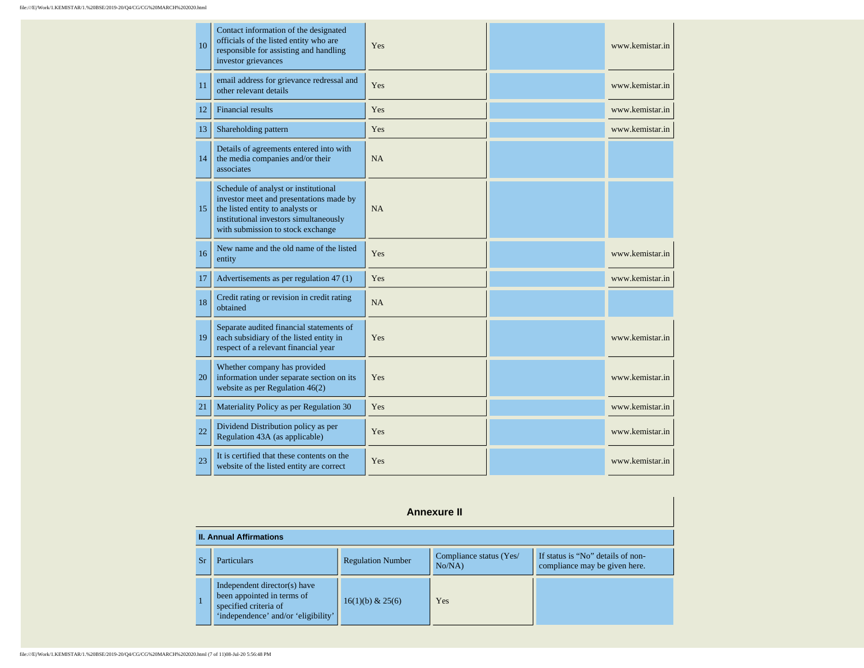| 10 | Contact information of the designated<br>officials of the listed entity who are<br>responsible for assisting and handling<br>investor grievances                                                   | Yes       | www.kemistar.in |
|----|----------------------------------------------------------------------------------------------------------------------------------------------------------------------------------------------------|-----------|-----------------|
| 11 | email address for grievance redressal and<br>other relevant details                                                                                                                                | Yes       | www.kemistar.in |
| 12 | <b>Financial results</b>                                                                                                                                                                           | Yes       | www.kemistar.in |
| 13 | Shareholding pattern                                                                                                                                                                               | Yes       | www.kemistar.in |
| 14 | Details of agreements entered into with<br>the media companies and/or their<br>associates                                                                                                          | <b>NA</b> |                 |
| 15 | Schedule of analyst or institutional<br>investor meet and presentations made by<br>the listed entity to analysts or<br>institutional investors simultaneously<br>with submission to stock exchange | <b>NA</b> |                 |
| 16 | New name and the old name of the listed<br>entity                                                                                                                                                  | Yes       | www.kemistar.in |
| 17 | Advertisements as per regulation 47 (1)                                                                                                                                                            | Yes       | www.kemistar.in |
| 18 | Credit rating or revision in credit rating<br>obtained                                                                                                                                             | <b>NA</b> |                 |
| 19 | Separate audited financial statements of<br>each subsidiary of the listed entity in<br>respect of a relevant financial year                                                                        | Yes       | www.kemistar.in |
| 20 | Whether company has provided<br>information under separate section on its<br>website as per Regulation $46(2)$                                                                                     | Yes       | www.kemistar.in |
| 21 | Materiality Policy as per Regulation 30                                                                                                                                                            | Yes       | www.kemistar.in |
| 22 | Dividend Distribution policy as per<br>Regulation 43A (as applicable)                                                                                                                              | Yes       | www.kemistar.in |
| 23 | It is certified that these contents on the<br>website of the listed entity are correct                                                                                                             | Yes       | www.kemistar.in |

|    | <b>Annexure II</b>                                                                                                                                 |                  |     |  |  |  |
|----|----------------------------------------------------------------------------------------------------------------------------------------------------|------------------|-----|--|--|--|
|    | <b>II. Annual Affirmations</b>                                                                                                                     |                  |     |  |  |  |
| Sr | Compliance status (Yes/<br>If status is "No" details of non-<br><b>Regulation Number</b><br>Particulars<br>compliance may be given here.<br>No/NA) |                  |     |  |  |  |
|    | Independent director(s) have<br>been appointed in terms of<br>specified criteria of<br>'independence' and/or 'eligibility'                         | 16(1)(b) & 25(6) | Yes |  |  |  |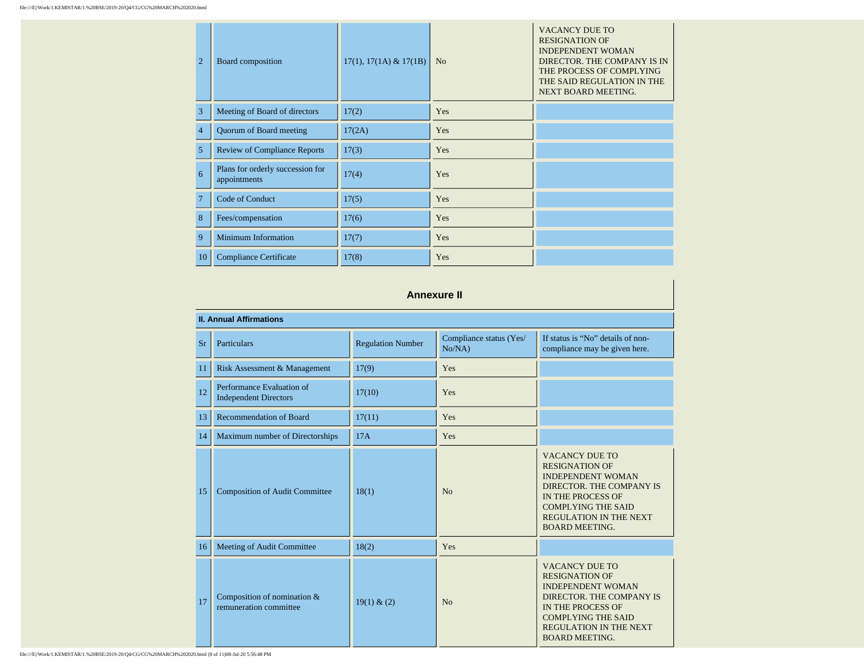| $\overline{2}$ | Board composition                                | $17(1), 17(1A) \& 17(1B)$ | N <sub>o</sub> | <b>VACANCY DUE TO</b><br><b>RESIGNATION OF</b><br><b>INDEPENDENT WOMAN</b><br>DIRECTOR. THE COMPANY IS IN<br>THE PROCESS OF COMPLYING<br>THE SAID REGULATION IN THE<br>NEXT BOARD MEETING. |
|----------------|--------------------------------------------------|---------------------------|----------------|--------------------------------------------------------------------------------------------------------------------------------------------------------------------------------------------|
| 3              | Meeting of Board of directors                    | 17(2)                     | Yes            |                                                                                                                                                                                            |
| $\overline{4}$ | Quorum of Board meeting                          | 17(2A)                    | Yes            |                                                                                                                                                                                            |
| 5              | <b>Review of Compliance Reports</b>              | 17(3)                     | Yes            |                                                                                                                                                                                            |
| 6              | Plans for orderly succession for<br>appointments | 17(4)                     | Yes            |                                                                                                                                                                                            |
| 7              | Code of Conduct                                  | 17(5)                     | Yes            |                                                                                                                                                                                            |
| 8              | Fees/compensation                                | 17(6)                     | Yes            |                                                                                                                                                                                            |
| 9              | <b>Minimum Information</b>                       | 17(7)                     | Yes            |                                                                                                                                                                                            |
| 10             | <b>Compliance Certificate</b>                    | 17(8)                     | Yes            |                                                                                                                                                                                            |

### **Annexure II**

| <b>II. Annual Affirmations</b> |                                                           |                          |                                   |                                                                                                                                                                                                                    |  |
|--------------------------------|-----------------------------------------------------------|--------------------------|-----------------------------------|--------------------------------------------------------------------------------------------------------------------------------------------------------------------------------------------------------------------|--|
| <b>Sr</b>                      | Particulars                                               | <b>Regulation Number</b> | Compliance status (Yes/<br>No/NA) | If status is "No" details of non-<br>compliance may be given here.                                                                                                                                                 |  |
| 11                             | Risk Assessment & Management                              | 17(9)                    | Yes                               |                                                                                                                                                                                                                    |  |
| 12                             | Performance Evaluation of<br><b>Independent Directors</b> | 17(10)                   | Yes                               |                                                                                                                                                                                                                    |  |
| 13                             | Recommendation of Board                                   | 17(11)                   | Yes                               |                                                                                                                                                                                                                    |  |
| 14                             | Maximum number of Directorships                           | 17A                      | Yes                               |                                                                                                                                                                                                                    |  |
| 15                             | <b>Composition of Audit Committee</b>                     | 18(1)                    | No                                | <b>VACANCY DUE TO</b><br><b>RESIGNATION OF</b><br><b>INDEPENDENT WOMAN</b><br>DIRECTOR. THE COMPANY IS<br>IN THE PROCESS OF<br><b>COMPLYING THE SAID</b><br><b>REGULATION IN THE NEXT</b><br><b>BOARD MEETING.</b> |  |
| 16                             | Meeting of Audit Committee                                | 18(2)                    | Yes                               |                                                                                                                                                                                                                    |  |
| 17                             | Composition of nomination $&$<br>remuneration committee   | 19(1) & (2)              | No                                | <b>VACANCY DUE TO</b><br><b>RESIGNATION OF</b><br><b>INDEPENDENT WOMAN</b><br>DIRECTOR. THE COMPANY IS<br>IN THE PROCESS OF<br><b>COMPLYING THE SAID</b><br><b>REGULATION IN THE NEXT</b><br><b>BOARD MEETING.</b> |  |

file:///E|/Work/1.KEMISTAR/1.%20BSE/2019-20/Q4/CG/CG%20MARCH%202020.html (8 of 11)08-Jul-20 5:56:48 PM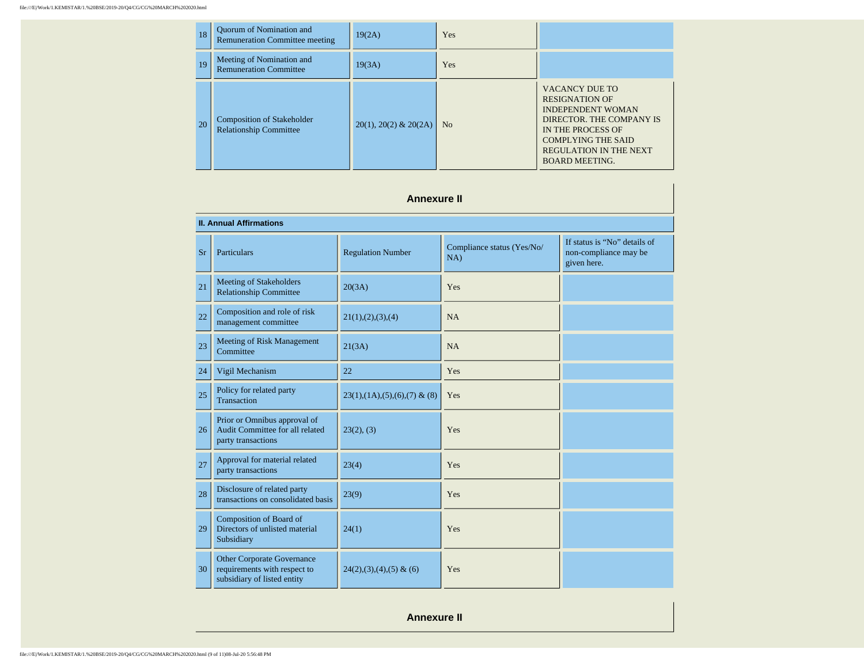#### file:///E|/Work/1.KEMISTAR/1.%20BSE/2019-20/Q4/CG/CG%20MARCH%202020.html

| 18 | Quorum of Nomination and<br><b>Remuneration Committee meeting</b>  | 19(2A)                      | <b>Yes</b> |                                                                                                                                                                                                                    |
|----|--------------------------------------------------------------------|-----------------------------|------------|--------------------------------------------------------------------------------------------------------------------------------------------------------------------------------------------------------------------|
| 19 | Meeting of Nomination and<br><b>Remuneration Committee</b>         | 19(3A)                      | <b>Yes</b> |                                                                                                                                                                                                                    |
| 20 | <b>Composition of Stakeholder</b><br><b>Relationship Committee</b> | $20(1)$ , $20(2)$ & $20(2)$ | No         | <b>VACANCY DUE TO</b><br><b>RESIGNATION OF</b><br><b>INDEPENDENT WOMAN</b><br>DIRECTOR. THE COMPANY IS<br>IN THE PROCESS OF<br><b>COMPLYING THE SAID</b><br><b>REGULATION IN THE NEXT</b><br><b>BOARD MEETING.</b> |

### **Annexure II**

| <b>II. Annual Affirmations</b> |                                                                                                  |                                    |                                   |                                                                      |
|--------------------------------|--------------------------------------------------------------------------------------------------|------------------------------------|-----------------------------------|----------------------------------------------------------------------|
| <b>Sr</b>                      | Particulars                                                                                      | <b>Regulation Number</b>           | Compliance status (Yes/No/<br>NA) | If status is "No" details of<br>non-compliance may be<br>given here. |
| 21                             | Meeting of Stakeholders<br><b>Relationship Committee</b>                                         | 20(3A)                             | Yes                               |                                                                      |
| 22                             | Composition and role of risk<br>management committee                                             | 21(1), (2), (3), (4)               | <b>NA</b>                         |                                                                      |
| 23                             | Meeting of Risk Management<br>Committee                                                          | 21(3A)                             | NA                                |                                                                      |
| 24                             | Vigil Mechanism                                                                                  | 22                                 | Yes                               |                                                                      |
| 25                             | Policy for related party<br>Transaction                                                          | $23(1), (1A), (5), (6), (7)$ & (8) | Yes                               |                                                                      |
| 26                             | Prior or Omnibus approval of<br>Audit Committee for all related<br>party transactions            | 23(2), (3)                         | Yes                               |                                                                      |
| 27                             | Approval for material related<br>party transactions                                              | 23(4)                              | Yes                               |                                                                      |
| 28                             | Disclosure of related party<br>transactions on consolidated basis                                | 23(9)                              | Yes                               |                                                                      |
| 29                             | Composition of Board of<br>Directors of unlisted material<br>Subsidiary                          | 24(1)                              | Yes                               |                                                                      |
| 30                             | <b>Other Corporate Governance</b><br>requirements with respect to<br>subsidiary of listed entity | $24(2),(3),(4),(5)$ & (6)          | Yes                               |                                                                      |

**Annexure II**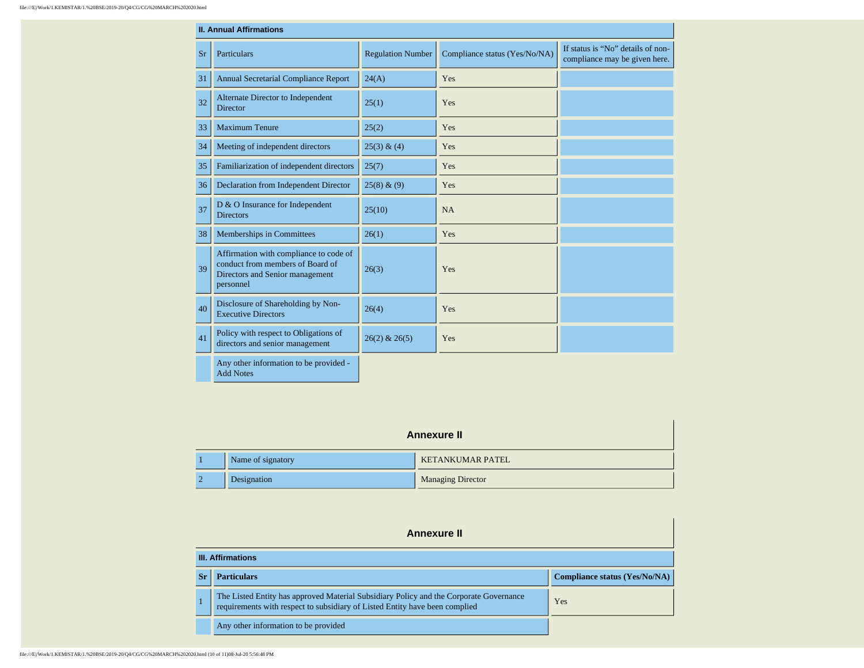|    | <b>II. Annual Affirmations</b>                                                                                             |                          |                               |                                                                    |
|----|----------------------------------------------------------------------------------------------------------------------------|--------------------------|-------------------------------|--------------------------------------------------------------------|
| Sr | Particulars                                                                                                                | <b>Regulation Number</b> | Compliance status (Yes/No/NA) | If status is "No" details of non-<br>compliance may be given here. |
| 31 | <b>Annual Secretarial Compliance Report</b>                                                                                | 24(A)                    | Yes                           |                                                                    |
| 32 | Alternate Director to Independent<br><b>Director</b>                                                                       | 25(1)                    | Yes                           |                                                                    |
| 33 | <b>Maximum Tenure</b>                                                                                                      | 25(2)                    | Yes                           |                                                                    |
| 34 | Meeting of independent directors                                                                                           | 25(3) & (4)              | Yes                           |                                                                    |
| 35 | Familiarization of independent directors                                                                                   | 25(7)                    | Yes                           |                                                                    |
| 36 | Declaration from Independent Director                                                                                      | 25(8) & (9)              | Yes                           |                                                                    |
| 37 | D & O Insurance for Independent<br><b>Directors</b>                                                                        | 25(10)                   | <b>NA</b>                     |                                                                    |
| 38 | Memberships in Committees                                                                                                  | 26(1)                    | Yes                           |                                                                    |
| 39 | Affirmation with compliance to code of<br>conduct from members of Board of<br>Directors and Senior management<br>personnel | 26(3)                    | Yes                           |                                                                    |
| 40 | Disclosure of Shareholding by Non-<br><b>Executive Directors</b>                                                           | 26(4)                    | Yes                           |                                                                    |
| 41 | Policy with respect to Obligations of<br>directors and senior management                                                   | $26(2)$ & $26(5)$        | Yes                           |                                                                    |
|    | Any other information to be provided -<br><b>Add Notes</b>                                                                 |                          |                               |                                                                    |

| <b>Annexure II</b> |                          |  |  |
|--------------------|--------------------------|--|--|
| Name of signatory  | <b>KETANKUMAR PATEL</b>  |  |  |
| Designation        | <b>Managing Director</b> |  |  |

| Annexure II |                                                                                                                                                                       |                                      |  |
|-------------|-----------------------------------------------------------------------------------------------------------------------------------------------------------------------|--------------------------------------|--|
|             | <b>III. Affirmations</b>                                                                                                                                              |                                      |  |
| -Sr         | <b>Particulars</b>                                                                                                                                                    | <b>Compliance status (Yes/No/NA)</b> |  |
|             | The Listed Entity has approved Material Subsidiary Policy and the Corporate Governance<br>requirements with respect to subsidiary of Listed Entity have been complied | Yes                                  |  |
|             | Any other information to be provided                                                                                                                                  |                                      |  |